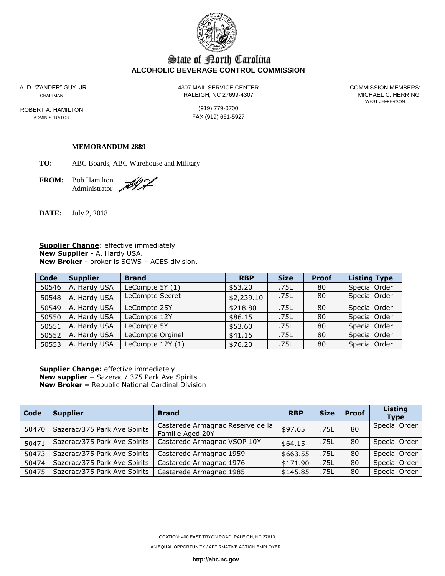

# State of Borth Carolina **ALCOHOLIC BEVERAGE CONTROL COMMISSION**

ROBERT A. HAMILTON (919) 779-0700

A. D. "ZANDER" GUY, JR. 4307 MAIL SERVICE CENTER COMMISSION MEMBERS: CHAIRMAN CHAIRMAN CHAIRMAN

WEST JEFFERSON

ADMINISTRATOR **FAX** (919) 661-5927

#### **MEMORANDUM 2889**

**TO:** ABC Boards, ABC Warehouse and Military

**FROM:** Bob Hamilton Administrator

DI L

**DATE:** July 2, 2018

**Supplier Change**: effective immediately **New Supplier** - A. Hardy USA. **New Broker** - broker is SGWS – ACES division.

| Code  | <b>Supplier</b> | <b>Brand</b>      | <b>RBP</b> | <b>Size</b> | <b>Proof</b> | <b>Listing Type</b> |
|-------|-----------------|-------------------|------------|-------------|--------------|---------------------|
| 50546 | A. Hardy USA    | LeCompte 5Y (1)   | \$53.20    | .75L        | 80           | Special Order       |
| 50548 | A. Hardy USA    | LeCompte Secret   | \$2,239.10 | .75L        | 80           | Special Order       |
| 50549 | A. Hardy USA    | LeCompte 25Y      | \$218.80   | .75L        | 80           | Special Order       |
| 50550 | A. Hardy USA    | LeCompte 12Y      | \$86.15    | .75L        | 80           | Special Order       |
| 50551 | A. Hardy USA    | LeCompte 5Y       | \$53.60    | .75L        | 80           | Special Order       |
| 50552 | A. Hardy USA    | LeCompte Orginel  | \$41.15    | .75L        | 80           | Special Order       |
| 50553 | A. Hardy USA    | LeCompte $12Y(1)$ | \$76.20    | .75L        | 80           | Special Order       |

**Supplier Change:** effective immediately **New supplier –** Sazerac / 375 Park Ave Spirits **New Broker –** Republic National Cardinal Division

| Code  | <b>Supplier</b>              | <b>Brand</b>                                         | <b>RBP</b> | <b>Size</b> | <b>Proof</b> | Listing<br><b>Type</b> |
|-------|------------------------------|------------------------------------------------------|------------|-------------|--------------|------------------------|
| 50470 | Sazerac/375 Park Ave Spirits | Castarede Armagnac Reserve de la<br>Famille Aged 20Y | \$97.65    | .75L        | 80           | Special Order          |
| 50471 | Sazerac/375 Park Ave Spirits | Castarede Armagnac VSOP 10Y                          | \$64.15    | .75L        | 80           | Special Order          |
| 50473 | Sazerac/375 Park Ave Spirits | Castarede Armagnac 1959                              | \$663.55   | .75L        | 80           | Special Order          |
| 50474 | Sazerac/375 Park Ave Spirits | Castarede Armagnac 1976                              | \$171.90   | .75L        | 80           | Special Order          |
| 50475 | Sazerac/375 Park Ave Spirits | Castarede Armagnac 1985                              | \$145.85   | .75L        | 80           | Special Order          |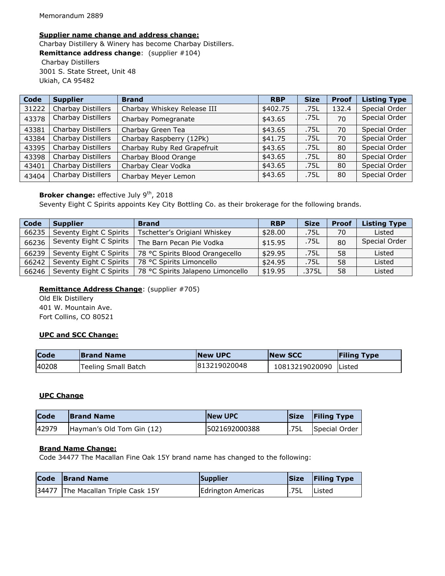#### **Supplier name change and address change:**

Charbay Distillery & Winery has become Charbay Distillers. **Remittance address change**: (supplier #104) Charbay Distillers 3001 S. State Street, Unit 48 Ukiah, CA 95482

| Code  | <b>Supplier</b>    | <b>Brand</b>                | <b>RBP</b> | <b>Size</b> | <b>Proof</b> | <b>Listing Type</b> |
|-------|--------------------|-----------------------------|------------|-------------|--------------|---------------------|
| 31222 | Charbay Distillers | Charbay Whiskey Release III | \$402.75   | .75L        | 132.4        | Special Order       |
| 43378 | Charbay Distillers | Charbay Pomegranate         | \$43.65    | .75L        | 70           | Special Order       |
| 43381 | Charbay Distillers | Charbay Green Tea           | \$43.65    | .75L        | 70           | Special Order       |
| 43384 | Charbay Distillers | Charbay Raspberry (12Pk)    | \$41.75    | .75L        | 70           | Special Order       |
| 43395 | Charbay Distillers | Charbay Ruby Red Grapefruit | \$43.65    | .75L        | 80           | Special Order       |
| 43398 | Charbay Distillers | Charbay Blood Orange        | \$43.65    | .75L        | 80           | Special Order       |
| 43401 | Charbay Distillers | Charbay Clear Vodka         | \$43.65    | .75L        | 80           | Special Order       |
| 43404 | Charbay Distillers | Charbay Meyer Lemon         | \$43.65    | .75L        | 80           | Special Order       |

## **Broker change:** effective July 9<sup>th</sup>, 2018

Seventy Eight C Spirits appoints Key City Bottling Co. as their brokerage for the following brands.

| Code  | <b>Supplier</b>         | <b>Brand</b>                      | <b>RBP</b> | <b>Size</b> | <b>Proof</b> | <b>Listing Type</b> |
|-------|-------------------------|-----------------------------------|------------|-------------|--------------|---------------------|
| 66235 | Seventy Eight C Spirits | Tschetter's Origianl Whiskey      | \$28.00    | .75L        | 70           | Listed              |
| 66236 | Seventy Eight C Spirits | The Barn Pecan Pie Vodka          | \$15.95    | .75L        | 80           | Special Order       |
| 66239 | Seventy Eight C Spirits | 78 °C Spirits Blood Orangecello   | \$29.95    | .75L        | 58           | Listed              |
| 66242 | Seventy Eight C Spirits | 78 °C Spirits Limoncello          | \$24.95    | .75L        | 58           | Listed              |
| 66246 | Seventy Eight C Spirits | 78 °C Spirits Jalapeno Limoncello | \$19.95    | .375L       | 58           | Listed              |

## **Remittance Address Change**: (supplier #705)

Old Elk Distillery 401 W. Mountain Ave. Fort Collins, CO 80521

#### **UPC and SCC Change:**

| <b>Code</b> | <b>Brand Name</b>   | <b>INew UPC</b> | <b>INew SCC</b> | <b>Filing Type</b> |
|-------------|---------------------|-----------------|-----------------|--------------------|
| 40208       | Teeling Small Batch | 813219020048    | 10813219020090  | Listed             |

#### **UPC Change**

| Code  | <b>Brand Name</b>         | <b>INew UPC</b> |       | Size Filing Type |
|-------|---------------------------|-----------------|-------|------------------|
| 42979 | Hayman's Old Tom Gin (12) | 15021692000388  | 1.75L | Special Order    |

## **Brand Name Change:**

Code 34477 The Macallan Fine Oak 15Y brand name has changed to the following:

| Code Brand Name                    | Supplier                  |      | Size Filing Type |
|------------------------------------|---------------------------|------|------------------|
| 34477 The Macallan Triple Cask 15Y | <b>Edrington Americas</b> | .75L | Listed           |